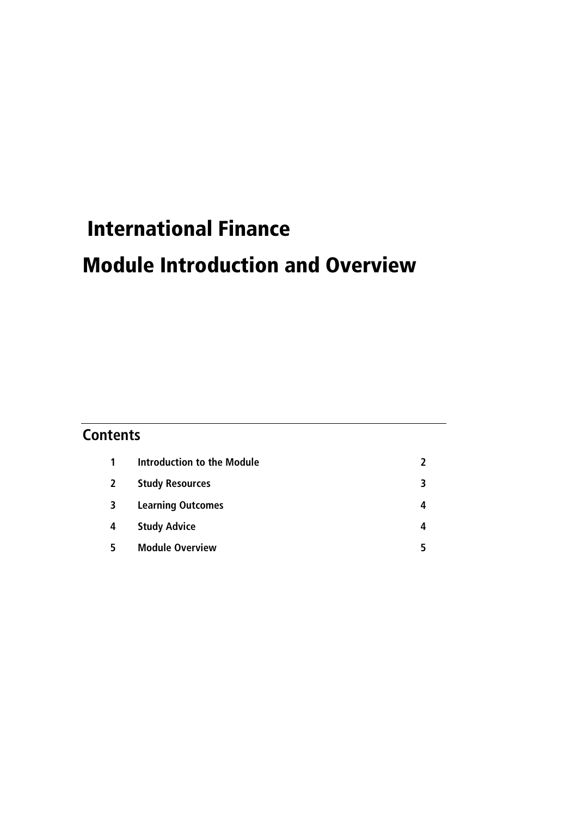# International Finance

# Module Introduction and Overview

## **Contents**

| 1              | Introduction to the Module |   |
|----------------|----------------------------|---|
| $\overline{2}$ | <b>Study Resources</b>     | 3 |
| 3              | <b>Learning Outcomes</b>   | 4 |
| 4              | <b>Study Advice</b>        | 4 |
|                | <b>Module Overview</b>     |   |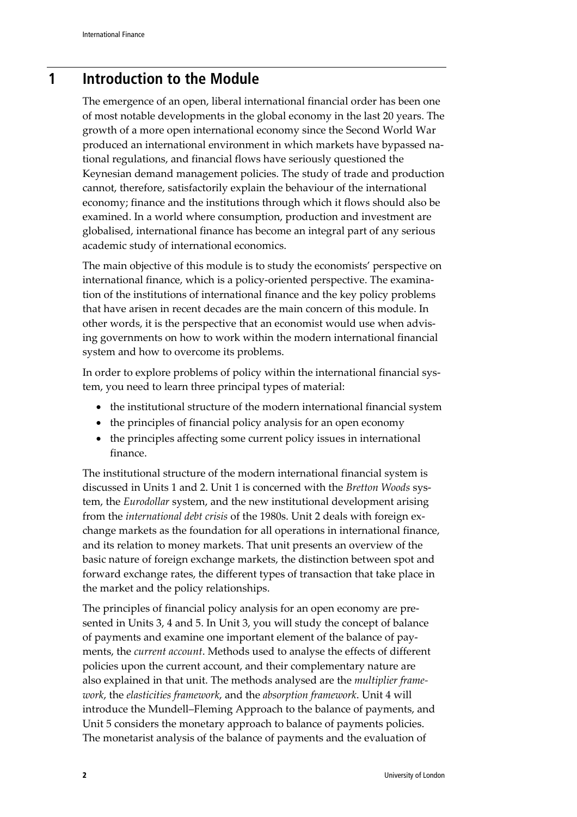## **1 Introduction to the Module**

The emergence of an open, liberal international financial order has been one of most notable developments in the global economy in the last 20 years. The growth of a more open international economy since the Second World War produced an international environment in which markets have bypassed national regulations, and financial flows have seriously questioned the Keynesian demand management policies. The study of trade and production cannot, therefore, satisfactorily explain the behaviour of the international economy; finance and the institutions through which it flows should also be examined. In a world where consumption, production and investment are globalised, international finance has become an integral part of any serious academic study of international economics.

The main objective of this module is to study the economists' perspective on international finance, which is a policy-oriented perspective. The examination of the institutions of international finance and the key policy problems that have arisen in recent decades are the main concern of this module. In other words, it is the perspective that an economist would use when advising governments on how to work within the modern international financial system and how to overcome its problems.

In order to explore problems of policy within the international financial system, you need to learn three principal types of material:

- the institutional structure of the modern international financial system
- the principles of financial policy analysis for an open economy
- the principles affecting some current policy issues in international finance.

The institutional structure of the modern international financial system is discussed in Units 1 and 2. Unit 1 is concerned with the *Bretton Woods* system, the *Eurodollar* system, and the new institutional development arising from the *international debt crisis* of the 1980s. Unit 2 deals with foreign exchange markets as the foundation for all operations in international finance, and its relation to money markets. That unit presents an overview of the basic nature of foreign exchange markets, the distinction between spot and forward exchange rates, the different types of transaction that take place in the market and the policy relationships.

The principles of financial policy analysis for an open economy are presented in Units 3, 4 and 5. In Unit 3, you will study the concept of balance of payments and examine one important element of the balance of payments, the *current account*. Methods used to analyse the effects of different policies upon the current account, and their complementary nature are also explained in that unit. The methods analysed are the *multiplier framework*, the *elasticities framework*, and the *absorption framework*. Unit 4 will introduce the Mundell–Fleming Approach to the balance of payments, and Unit 5 considers the monetary approach to balance of payments policies. The monetarist analysis of the balance of payments and the evaluation of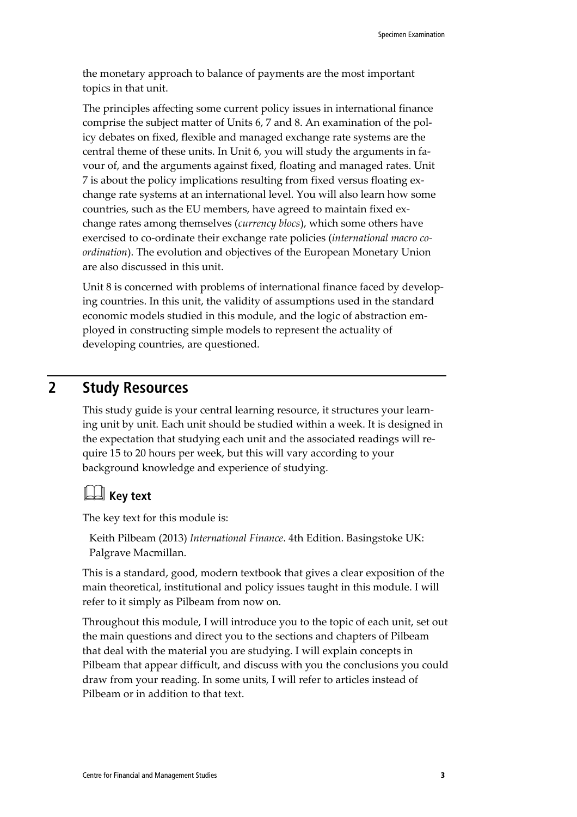the monetary approach to balance of payments are the most important topics in that unit.

The principles affecting some current policy issues in international finance comprise the subject matter of Units 6, 7 and 8. An examination of the policy debates on fixed, flexible and managed exchange rate systems are the central theme of these units. In Unit 6, you will study the arguments in favour of, and the arguments against fixed, floating and managed rates. Unit 7 is about the policy implications resulting from fixed versus floating exchange rate systems at an international level. You will also learn how some countries, such as the EU members, have agreed to maintain fixed exchange rates among themselves (*currency blocs*), which some others have exercised to co-ordinate their exchange rate policies (*international macro coordination*). The evolution and objectives of the European Monetary Union are also discussed in this unit.

Unit 8 is concerned with problems of international finance faced by developing countries. In this unit, the validity of assumptions used in the standard economic models studied in this module, and the logic of abstraction employed in constructing simple models to represent the actuality of developing countries, are questioned.

## **2 Study Resources**

This study guide is your central learning resource, it structures your learning unit by unit. Each unit should be studied within a week. It is designed in the expectation that studying each unit and the associated readings will require 15 to 20 hours per week, but this will vary according to your background knowledge and experience of studying.

# **Key text**

The key text for this module is:

Keith Pilbeam (2013) *International Finance*. 4th Edition. Basingstoke UK: Palgrave Macmillan.

This is a standard, good, modern textbook that gives a clear exposition of the main theoretical, institutional and policy issues taught in this module. I will refer to it simply as Pilbeam from now on.

Throughout this module, I will introduce you to the topic of each unit, set out the main questions and direct you to the sections and chapters of Pilbeam that deal with the material you are studying. I will explain concepts in Pilbeam that appear difficult, and discuss with you the conclusions you could draw from your reading. In some units, I will refer to articles instead of Pilbeam or in addition to that text.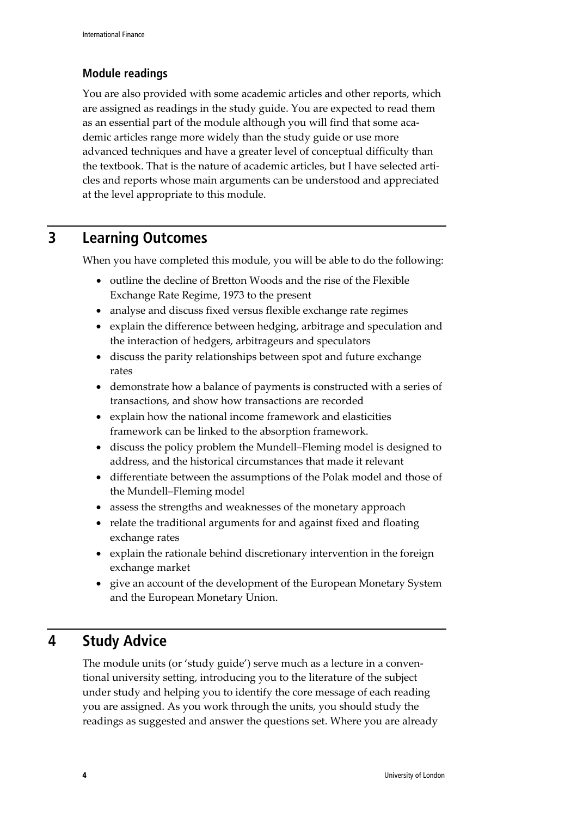### **Module readings**

You are also provided with some academic articles and other reports, which are assigned as readings in the study guide. You are expected to read them as an essential part of the module although you will find that some academic articles range more widely than the study guide or use more advanced techniques and have a greater level of conceptual difficulty than the textbook. That is the nature of academic articles, but I have selected articles and reports whose main arguments can be understood and appreciated at the level appropriate to this module.

## **3 Learning Outcomes**

When you have completed this module, you will be able to do the following:

- outline the decline of Bretton Woods and the rise of the Flexible Exchange Rate Regime, 1973 to the present
- analyse and discuss fixed versus flexible exchange rate regimes
- explain the difference between hedging, arbitrage and speculation and the interaction of hedgers, arbitrageurs and speculators
- discuss the parity relationships between spot and future exchange rates
- demonstrate how a balance of payments is constructed with a series of transactions, and show how transactions are recorded
- explain how the national income framework and elasticities framework can be linked to the absorption framework.
- discuss the policy problem the Mundell–Fleming model is designed to address, and the historical circumstances that made it relevant
- differentiate between the assumptions of the Polak model and those of the Mundell–Fleming model
- assess the strengths and weaknesses of the monetary approach
- relate the traditional arguments for and against fixed and floating exchange rates
- explain the rationale behind discretionary intervention in the foreign exchange market
- give an account of the development of the European Monetary System and the European Monetary Union.

## **4 Study Advice**

The module units (or 'study guide') serve much as a lecture in a conventional university setting, introducing you to the literature of the subject under study and helping you to identify the core message of each reading you are assigned. As you work through the units, you should study the readings as suggested and answer the questions set. Where you are already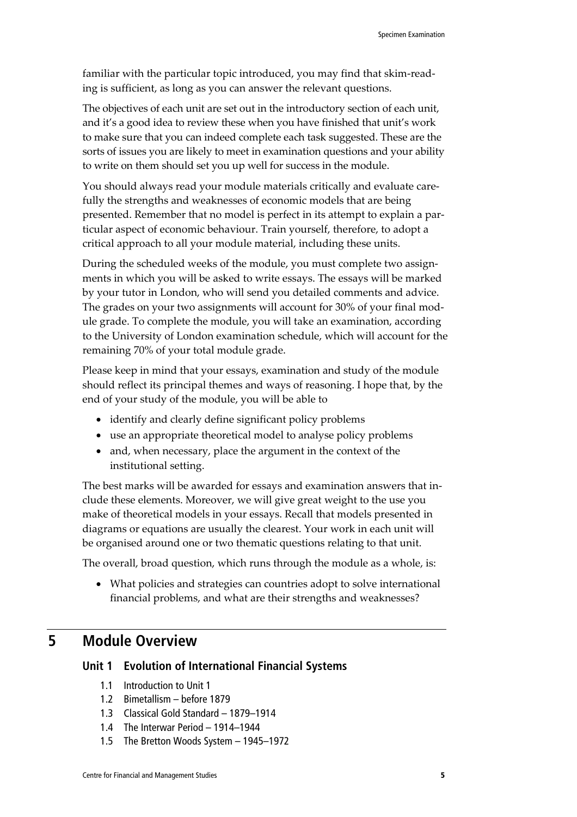familiar with the particular topic introduced, you may find that skim-reading is sufficient, as long as you can answer the relevant questions.

The objectives of each unit are set out in the introductory section of each unit, and it's a good idea to review these when you have finished that unit's work to make sure that you can indeed complete each task suggested. These are the sorts of issues you are likely to meet in examination questions and your ability to write on them should set you up well for success in the module.

You should always read your module materials critically and evaluate carefully the strengths and weaknesses of economic models that are being presented. Remember that no model is perfect in its attempt to explain a particular aspect of economic behaviour. Train yourself, therefore, to adopt a critical approach to all your module material, including these units.

During the scheduled weeks of the module, you must complete two assignments in which you will be asked to write essays. The essays will be marked by your tutor in London, who will send you detailed comments and advice. The grades on your two assignments will account for 30% of your final module grade. To complete the module, you will take an examination, according to the University of London examination schedule, which will account for the remaining 70% of your total module grade.

Please keep in mind that your essays, examination and study of the module should reflect its principal themes and ways of reasoning. I hope that, by the end of your study of the module, you will be able to

- identify and clearly define significant policy problems
- use an appropriate theoretical model to analyse policy problems
- and, when necessary, place the argument in the context of the institutional setting.

The best marks will be awarded for essays and examination answers that include these elements. Moreover, we will give great weight to the use you make of theoretical models in your essays. Recall that models presented in diagrams or equations are usually the clearest. Your work in each unit will be organised around one or two thematic questions relating to that unit.

The overall, broad question, which runs through the module as a whole, is:

• What policies and strategies can countries adopt to solve international financial problems, and what are their strengths and weaknesses?

## **5 Module Overview**

#### **Unit 1 Evolution of International Financial Systems**

- 1.1 Introduction to Unit 1
- 1.2 Bimetallism before 1879
- 1.3 Classical Gold Standard 1879–1914
- 1.4 The Interwar Period 1914–1944
- 1.5 The Bretton Woods System 1945–1972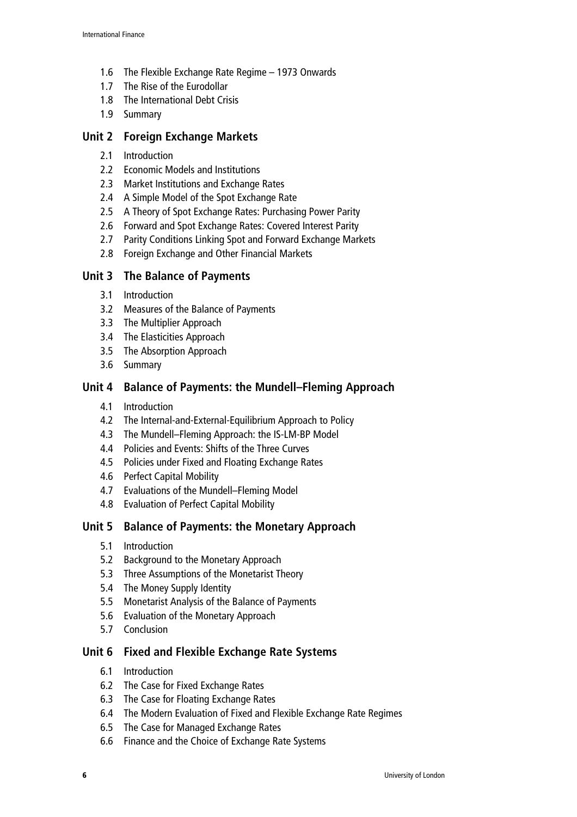- 1.6 The Flexible Exchange Rate Regime 1973 Onwards
- 1.7 The Rise of the Eurodollar
- 1.8 The International Debt Crisis
- 1.9 Summary

#### **Unit 2 Foreign Exchange Markets**

- 2.1 Introduction
- 2.2 Economic Models and Institutions
- 2.3 Market Institutions and Exchange Rates
- 2.4 A Simple Model of the Spot Exchange Rate
- 2.5 A Theory of Spot Exchange Rates: Purchasing Power Parity
- 2.6 Forward and Spot Exchange Rates: Covered Interest Parity
- 2.7 Parity Conditions Linking Spot and Forward Exchange Markets
- 2.8 Foreign Exchange and Other Financial Markets

#### **Unit 3 The Balance of Payments**

- 3.1 Introduction
- 3.2 Measures of the Balance of Payments
- 3.3 The Multiplier Approach
- 3.4 The Elasticities Approach
- 3.5 The Absorption Approach
- 3.6 Summary

#### **Unit 4 Balance of Payments: the Mundell–Fleming Approach**

- 4.1 Introduction
- 4.2 The Internal-and-External-Equilibrium Approach to Policy
- 4.3 The Mundell–Fleming Approach: the IS-LM-BP Model
- 4.4 Policies and Events: Shifts of the Three Curves
- 4.5 Policies under Fixed and Floating Exchange Rates
- 4.6 Perfect Capital Mobility
- 4.7 Evaluations of the Mundell–Fleming Model
- 4.8 Evaluation of Perfect Capital Mobility

#### **Unit 5 Balance of Payments: the Monetary Approach**

- 5.1 Introduction
- 5.2 Background to the Monetary Approach
- 5.3 Three Assumptions of the Monetarist Theory
- 5.4 The Money Supply Identity
- 5.5 Monetarist Analysis of the Balance of Payments
- 5.6 Evaluation of the Monetary Approach
- 5.7 Conclusion

#### **Unit 6 Fixed and Flexible Exchange Rate Systems**

- 6.1 Introduction
- 6.2 The Case for Fixed Exchange Rates
- 6.3 The Case for Floating Exchange Rates
- 6.4 The Modern Evaluation of Fixed and Flexible Exchange Rate Regimes
- 6.5 The Case for Managed Exchange Rates
- 6.6 Finance and the Choice of Exchange Rate Systems